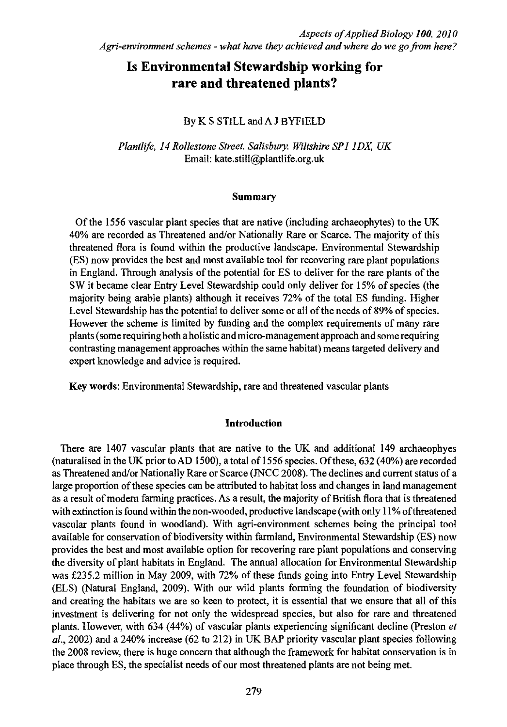# Is Environmental Stewardship working for rare and threatened plants?

# By K S STILL and A J BYFIELD

Plantlife, 14 Rollestone Street, Salisbury, Wiltshire SP1 IDX, UK Email: kate.still@plantlife.org.uk

## Summary

Of the 1556 vascular plant species that are native (including archaeophytes) to the UK 40% are recorded as Threatened and/or Nationally Rare or Scarce. The majority of this threatened flora is found within the productive landscape. Environmental Stewardship (ES) now provides the best and most available tool for recovering rare plant populations in England. Through analysis of the potential for ES to deliver for the rare plants of the SW it became clear Entry Level Stewardship could only deliver for 15% of species (the majority being arable plants) although it receives 72% of the total ES funding. Higher Level Stewardship has the potential to deliver some or all of the needs of 89% of species. However the scheme is limited by funding and the complex requirements of many rare plants (some requiring both a holistic and micro-management approach and some requiring contrasting management approaches within the same habitat) means targeted delivery and expert knowledge and advice is required.

Key words: Environmental Stewardship, rare and threatened vascular plants

## Introduction

There are 1407 vascular plants that are native to the UK and additional 149 archaeophyes (naturalised in the UK prior to AD 1500), a total of 1556 species. Of these, 632 (40%) are recorded as Threatened and/or Nationally Rare or Scarce (JNCC 2008). The declines and current status of a large proportion of these species can be attributed to habitat loss and changes in land management as a result of modern farming practices. As a result, the majority of British flora that is threatened with extinction is found within the non-wooded, productive landscape (with only 11% of threatened vascular plants found in woodland). With agri-environment schemes being the principal tool available for conservation of biodiversity within farmland, Environmental Stewardship (ES) now provides the best and most available option for recovering rare plant populations and conserving the diversity of plant habitats in England. The annual allocation for Environmental Stewardship was £235.2 million in May 2009, with 72% of these funds going into Entry Level Stewardship (ELS) (Natural England, 2009). With our wild plants forming the foundation of biodiversity and creating the habitats we are so keen to protect, it is essential that we ensure that all of this investment is delivering for not only the widespread species, but also for rare and threatened plants. However, with 634 (44%) of vascular plants experiencing significant decline (Preston et  $al., 2002$  and a 240% increase (62 to 212) in UK BAP priority vascular plant species following the 2008 review, there is huge concern that although the framework for habitat conservation is in place through ES, the specialist needs of our most threatened plants are not being met.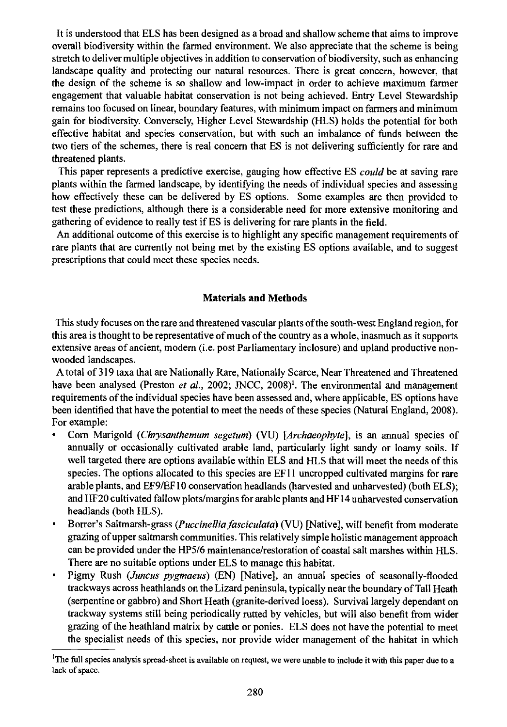It is understood that ELS has been designed as a broad and shallow scheme that aims to improve overall biodiversity within the farmed environment. We also appreciate that the scheme is being stretch to deliver multiple objectives in addition to conservation of biodiversity, such as enhancing landscape quality and protecting our natural resources. There is great concern, however, that the design of the scheme is so shallow and low-impact in order to achieve maximum farmer engagement that valuable habitat conservation is not being achieved. Entry Level Stewardship remains too focused on linear, boundary features, with minimum impact on farmers and minimum gain for biodiversity. Conversely, Higher Level Stewardship (HLS) holds the potential for both effective habitat and species conservation, but with such an imbalance of funds between the two tiers of the schemes, there is real concern that ES is not delivering sufficiently for rare and threatened plants.

This paper represents a predictive exercise, gauging how effective ES could be at saving rare plants within the farmed landscape, by identifying the needs of individual species and assessing how effectively these can be delivered by ES options. Some examples are then provided to test these predictions, although there is a considerable need for more extensive monitoring and gathering of evidence to really test if ES is delivering for rare plants in the field.

An additional outcome of this exercise is to highlight any specific management requirements of rare plants that are currently not being met by the existing ES options available, and to suggest prescriptions that could meet these species needs.

## Materials and Methods

This study focuses on the rare and threatened vascular plants of the south-west England region, for this area is thought to be representative of much of the country as a whole, inasmuch as it supports extensive areas of ancient, modern (i.e. post Parliamentary inclosure) and upland productive nonwooded landscapes.

A total of 319 taxa that are Nationally Rare, Nationally Scarce, Near Threatened and Threatened have been analysed (Preston *et al.*, 2002; JNCC, 2008)<sup>1</sup>. The environmental and management requirements of the individual species have been assessed and, where applicable, ES options have been identified that have the potential to meet the needs of these species (Natural England, 2008). For example:

- Corn Marigold (Chrysanthemum segetum) (VU) [Archaeophyte], is an annual species of annually or occasionally cultivated arable land, particularly light sandy or loamy soils. If well targeted there are options available within ELS and HLS that will meet the needs of this species. The options allocated to this species are EF11 uncropped cultivated margins for rare arable plants, and EF9/EF10 conservation headlands (harvested and unharvested) (both ELS); and HF20 cultivated fallow plots/margins for arable plants and HF14 unharvested conservation headlands (both HLS).
- $\bullet$ Borrer's Saltmarsh-grass (*Puccinellia fasciculata*) (VU) [Native], will benefit from moderate grazing of upper saltmarsh communities. This relatively simple holistic management approach can be provided under the HP5/6 maintenance/restoration of coastal salt marshes within HLS. There are no suitable options under ELS to manage this habitat.
- Pigmy Rush (Juncus pygmaeus) (EN) [Native], an annual species of seasonally-flooded trackways across heathlands on the Lizard peninsula, typically near the boundary of Tall Heath (serpentine or gabbro) and Short Heath (granite-derived loess). Survival largely dependant on trackway systems still being periodically rutted by vehicles, but will also benefit from wider grazing of the heathland matrix by cattle or ponies. ELS does not have the potential to meet the specialist needs of this species, nor provide wider management of the habitat in which

<sup>&#</sup>x27;The full species analysis spread-sheet is available on request, we were unable to include it with this paper due to a lack of space.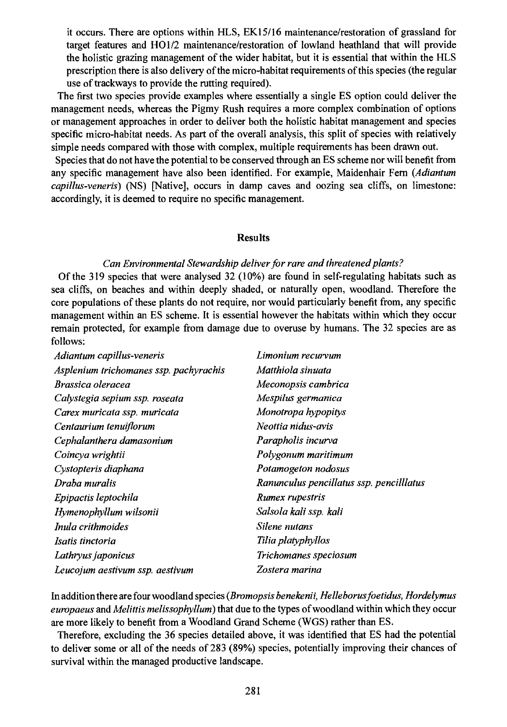it occurs. There are options within HLS, EK 15/16 maintenance/restoration of grassland for target features and H01/2 maintenance/restoration of lowland heathland that will provide the holistic grazing management of the wider habitat, but it is essential that within the HLS prescription there is also delivery of the micro-habitat requirements of this species (the regular use of trackways to provide the rutting required).

The first two species provide examples where essentially a single ES option could deliver the management needs, whereas the Pigmy Rush requires a more complex combination of options or management approaches in order to deliver both the holistic habitat management and species specific micro-habitat needs. As part of the overall analysis, this split of species with relatively simple needs compared with those with complex, multiple requirements has been drawn out.

Species that do not have the potential to be conserved through an ES scheme nor will benefit from any specific management have also been identified. For example, Maidenhair Fern (Adiantum capillus-veneris) (NS) [Native], occurs in damp caves and oozing sea cliffs, on limestone: accordingly, it is deemed to require no specific management.

#### Results

## Can Environmental Stewardship deliver for rare and threatened plants?

Of the 319 species that were analysed 32 (10%) are found in self-regulating habitats such as sea cliffs, on beaches and within deeply shaded, or naturally open, woodland. Therefore the core populations of these plants do not require, nor would particularly benefit from, any specific management within an ES scheme. It is essential however the habitats within which they occur remain protected, for example from damage due to overuse by humans. The 32 species are as follows:

| Adiantum capillus-veneris              | Limonium recurvum                        |
|----------------------------------------|------------------------------------------|
| Asplenium trichomanes ssp. pachyrachis | Matthiola sinuata                        |
| Brassica oleracea                      | Meconopsis cambrica                      |
| Calystegia sepium ssp. roseata         | Mespilus germanica                       |
| Carex muricata ssp. muricata           | Monotropa hypopitys                      |
| Centaurium tenuiflorum                 | Neottia nidus-avis                       |
| Cephalanthera damasonium               | Parapholis incurva                       |
| Coincya wrightii                       | Polygonum maritimum                      |
| Cystopteris diaphana                   | Potamogeton nodosus                      |
| Draha muralis                          | Ranunculus pencillatus ssp. pencilllatus |
| Epipactis leptochila                   | Rumex rupestris                          |
| Hymenophyllum wilsonii                 | Salsola kali ssp. kali                   |
| Inula crithmoides                      | Silene nutans                            |
| Isatis tinctoria                       | Tilia platyphyllos                       |
| Lathryus japonicus                     | Trichomanes speciosum                    |
| Leucojum aestivum ssp. aestivum        | Zostera marina                           |

In addition there are four woodland species (Bromopsis benekenii, Helleborusfoetidus, Hordelymus europaeus and Melittis melissophyllum) that due to the types of woodland within which they occur are more likely to benefit from a Woodland Grand Scheme (WGS) rather than ES.

Therefore, excluding the 36 species detailed above, it was identified that ES had the potential to deliver some or all of the needs of 283 (89%) species, potentially improving their chances of survival within the managed productive landscape.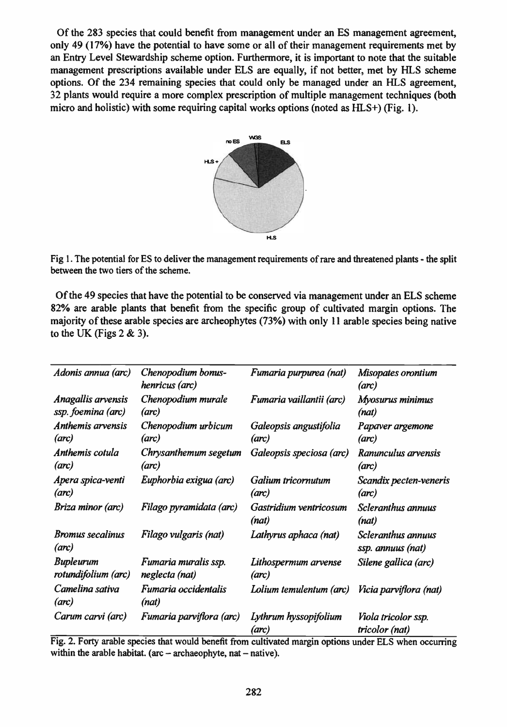Of the 283 species that could benefit from management under an ES management agreement, only 49 (17%) have the potential to have some or all of their management requirements met by an Entry Level Stewardship scheme option. Furthermore, it is important to note that the suitable management prescriptions available under ELS are equally, if not better, met by HLS scheme options. Of the 234 remaining species that could only be managed under an HLS agreement, 32 plants would require a more complex prescription of multiple management techniques (both micro and holistic) with some requiring capital works options (noted as FILS+) (Fig. 1).



Fig 1. The potential for ES to deliver the management requirements of rare and threatened plants - the split between the two tiers of the scheme.

Of the 49 species that have the potential to be conserved via management under an ELS scheme 82% are arable plants that benefit from the specific group of cultivated margin options. The majority of these arable species are archeophytes (73%) with only 11 arable species being native to the UK (Figs  $2 & 3$ ).

| Adonis annua (arc)               | Chenopodium bonus-<br>henricus (arc) | Fumaria purpurea (nat)          | Misopates orontium<br>(arc)             |
|----------------------------------|--------------------------------------|---------------------------------|-----------------------------------------|
| Anagallis arvensis               | Chenopodium murale                   | Fumaria vaillantii (arc)        | Myosurus minimus                        |
| ssp. foemina (arc)               | (arc)                                |                                 | (nat)                                   |
| Anthemis arvensis                | Chenopodium urbicum                  | Galeopsis angustifolia          | Papaver argemone                        |
| (arc)                            | (arc)                                | (arc)                           | (arc)                                   |
| Anthemis cotula                  | Chrysanthemum segetum                | Galeopsis speciosa (arc)        | Ranunculus arvensis                     |
| (arc)                            | (arc)                                |                                 | (arc)                                   |
| Apera spica-venti                | Euphorbia exigua (arc)               | Galium tricornutum              | Scandix pecten-veneris                  |
| (arc)                            |                                      | (arc)                           | (arc)                                   |
| Briza minor (arc)                | Filago pyramidata (arc)              | Gastridium ventricosum<br>(nat) | Scleranthus annuus<br>(nat)             |
| <b>Bromus secalinus</b><br>(arc) | Filago vulgaris (nat)                | Lathyrus aphaca (nat)           | Scleranthus annuus<br>ssp. annuus (nat) |
| <b>Bupleurum</b>                 | Fumaria muralis ssp.                 | Lithospermum arvense            | Silene gallica (arc)                    |
| rotundifolium (arc)              | neglecta (nat)                       | (arc)                           |                                         |
| Camelina sativa<br>(arc)         | Fumaria occidentalis<br>(nat)        | Lolium temulentum (arc)         | <i>Vicia parviflora (nat)</i>           |
| Carum carvi (arc)                | Fumaria parviflora (arc)             | Lythrum hyssopifolium<br>(arc)  | Viola tricolor ssp.<br>tricolor (nat)   |

Fig. 2. Forty arable species that would benefit from cultivated margin options under ELS when occurring within the arable habitat. (arc  $-$  archaeophyte, nat  $-$  native).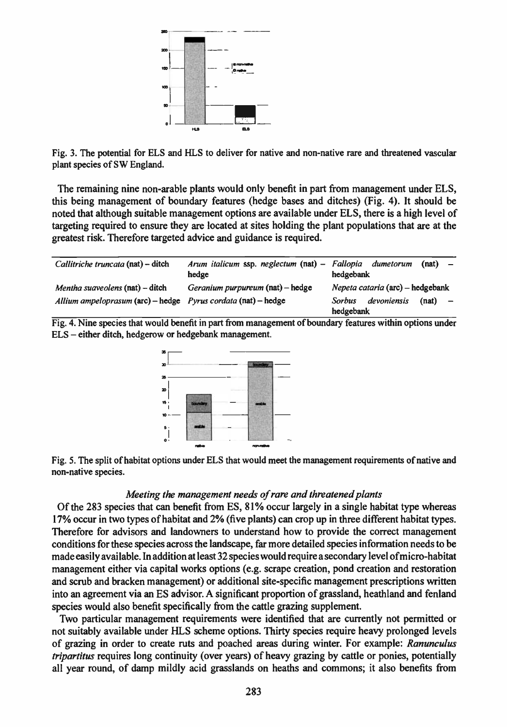

Fig. 3. The potential for ELS and HLS to deliver for native and non-native rare and threatened vascular plant species of SW England.

The remaining nine non-arable plants would only benefit in part from management under ELS, this being management of boundary features (hedge bases and ditches) (Fig. 4). It should be noted that although suitable management options are available under ELS, there is a high level of targeting required to ensure they are located at sites holding the plant populations that are at the greatest risk. Therefore targeted advice and guidance is required.

| Callitriche truncata (nat) - ditch                                              | Arum italicum ssp. neglectum (nat) - Fallopia<br>hedge | dumetorum<br>(nat)<br>$\overline{\phantom{a}}$<br>hedgebank             |
|---------------------------------------------------------------------------------|--------------------------------------------------------|-------------------------------------------------------------------------|
| Mentha suaveolens (nat) - ditch                                                 | Geranium purpureum (nat) – hedge                       | Nepeta cataria (arc) – hedgebank                                        |
| Allium ampeloprasum $(\text{arc})$ – hedge Pyrus cordata $(\text{nat})$ – hedge |                                                        | devoniensis<br>Sorbus<br>(nat)<br>$\overline{\phantom{0}}$<br>hedgebank |

Fig. 4. Nine species that would benefit in part from management of boundary features within options under ELS - either ditch, hedgerow or hedgebank management.



Fig. 5. The split of habitat options under ELS that would meet the management requirements of native and non-native species.

## Meeting the management needs of rare and threatened plants

Of the 283 species that can benefit from ES, 81% occur largely in a single habitat type whereas 17% occur in two types of habitat and 2% (five plants) can crop up in three different habitat types. Therefore for advisors and landowners to understand how to provide the correct management conditions for these species across the landscape, far more detailed species information needs to be made easily available. In addition at least 32 species would require a secondary level ofmicro-habitat management either via capital works options (e.g. scrape creation, pond creation and restoration and scrub and bracken management) or additional site-specific management prescriptions written into an agreement via an ES advisor. A significant proportion of grassland, heathland and fenland species would also benefit specifically from the cattle grazing supplement.

Two particular management requirements were identified that are currently not permitted or not suitably available under HLS scheme options. Thirty species require heavy prolonged levels of grazing in order to create ruts and poached areas during winter. For example: Ranunculus tripartitus requires long continuity (over years) of heavy grazing by cattle or ponies, potentially all year round, of damp mildly acid grasslands on heaths and commons; it also benefits from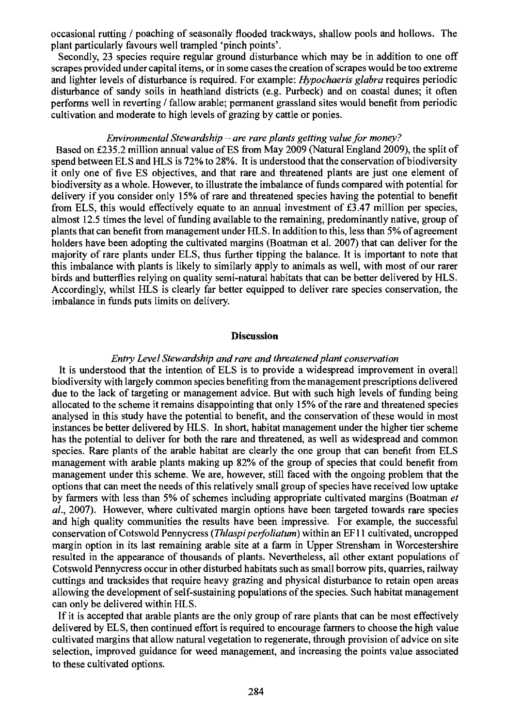occasional rutting / poaching of seasonally flooded trackways, shallow pools and hollows. The plant particularly favours well trampled 'pinch points'.

Secondly, 23 species require regular ground disturbance which may be in addition to one off scrapes provided under capital items, or in some cases the creation of scrapes would be too extreme and lighter levels of disturbance is required. For example: Hypochaeris glabra requires periodic disturbance of sandy soils in heathland districts (e.g. Purbeck) and on coastal dunes; it often performs well in reverting / fallow arable; permanent grassland sites would benefit from periodic cultivation and moderate to high levels of grazing by cattle or ponies.

#### Environmental Stewardship – are rare plants getting value for money?

Based on £235.2 million annual value of ES from May 2009 (Natural England 2009), the split of spend between ELS and HLS is 72% to 28%. It is understood that the conservation of biodiversity it only one of five ES objectives, and that rare and threatened plants are just one element of biodiversity as a whole. However, to illustrate the imbalance of funds compared with potential for delivery if you consider only 15% of rare and threatened species having the potential to benefit from ELS, this would effectively equate to an annual investment of  $£3.47$  million per species, almost 12.5 times the level of funding available to the remaining, predominantly native, group of plants that can benefit from management under HLS. In addition to this, less than 5% of agreement holders have been adopting the cultivated margins (Boatman et al. 2007) that can deliver for the majority of rare plants under ELS, thus further tipping the balance. It is important to note that this imbalance with plants is likely to similarly apply to animals as well, with most of our rarer birds and butterflies relying on quality semi-natural habitats that can be better delivered by HLS. Accordingly, whilst HLS is clearly far better equipped to deliver rare species conservation, the imbalance in funds puts limits on delivery.

#### Discussion

#### Entry Level Stewardship and rare and threatened plant conservation

It is understood that the intention of ELS is to provide a widespread improvement in overall biodiversity with largely common species benefiting from the management prescriptions delivered due to the lack of targeting or management advice. But with such high levels of funding being allocated to the scheme it remains disappointing that only 15% of the rare and threatened species analysed in this study have the potential to benefit, and the conservation of these would in most instances be better delivered by HLS. In short, habitat management under the higher tier scheme has the potential to deliver for both the rare and threatened, as well as widespread and common species. Rare plants of the arable habitat are clearly the one group that can benefit from ELS management with arable plants making up 82% of the group of species that could benefit from management under this scheme. We are, however, still faced with the ongoing problem that the options that can meet the needs of this relatively small group of species have received low uptake by farmers with less than 5% of schemes including appropriate cultivated margins (Boatman et al., 2007). However, where cultivated margin options have been targeted towards rare species and high quality communities the results have been impressive. For example, the successful conservation of Cotswold Pennycress (*Thlaspi perfoliatum*) within an EF11 cultivated, uncropped margin option in its last remaining arable site at a farm in Upper Strensham in Worcestershire resulted in the appearance of thousands of plants. Nevertheless, all other extant populations of Cotswold Pennycress occur in other disturbed habitats such as small borrow pits, quarries, railway cuttings and tracksides that require heavy grazing and physical disturbance to retain open areas allowing the development of self-sustaining populations of the species. Such habitat management can only be delivered within HLS.

If it is accepted that arable plants are the only group of rare plants that can be most effectively delivered by ELS, then continued effort is required to encourage farmers to choose the high value cultivated margins that allow natural vegetation to regenerate, through provision of advice on site selection, improved guidance for weed management, and increasing the points value associated to these cultivated options.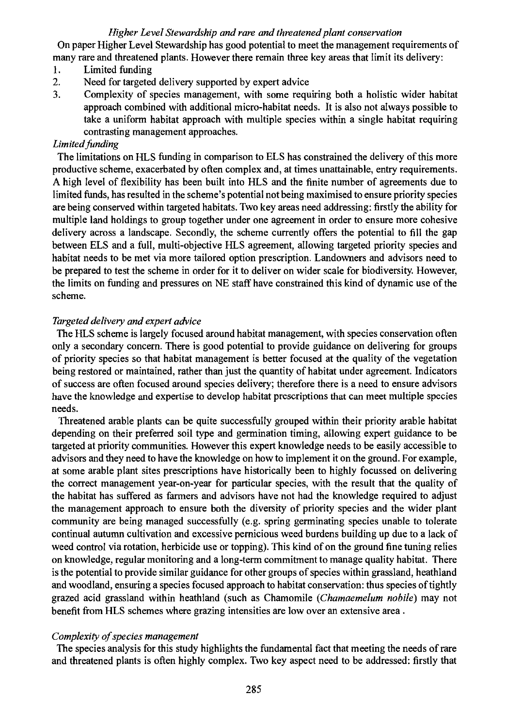# Higher Level Stewardship and rare and threatened plant conservation

On paper Higher Level Stewardship has good potential to meet the management requirements of many rare and threatened plants. However there remain three key areas that limit its delivery:

- 1. Limited funding
- 2. Need for targeted delivery supported by expert advice
- 3. Complexity of species management, with some requiring both a holistic wider habitat approach combined with additional micro-habitat needs. It is also not always possible to take a uniform habitat approach with multiple species within a single habitat requiring contrasting management approaches.

# Limited funding

The limitations on HLS funding in comparison to ELS has constrained the delivery of this more productive scheme, exacerbated by often complex and, at times unattainable, entry requirements. A high level of flexibility has been built into HLS and the finite number of agreements due to limited funds, has resulted in the scheme's potential not being maximised to ensure priority species are being conserved within targeted habitats. Two key areas need addressing: firstly the ability for multiple land holdings to group together under one agreement in order to ensure more cohesive delivery across a landscape. Secondly, the scheme currently offers the potential to fill the gap between ELS and a full, multi-objective HLS agreement, allowing targeted priority species and habitat needs to be met via more tailored option prescription. Landowners and advisors need to be prepared to test the scheme in order for it to deliver on wider scale for biodiversity. However, the limits on funding and pressures on NE staff have constrained this kind of dynamic use of the scheme.

## Targeted delivery and expert advice

The HLS scheme is largely focused around habitat management, with species conservation often only a secondary concern. There is good potential to provide guidance on delivering for groups of priority species so that habitat management is better focused at the quality of the vegetation being restored or maintained, rather than just the quantity of habitat under agreement. Indicators of success are often focused around species delivery; therefore there is a need to ensure advisors have the knowledge and expertise to develop habitat prescriptions that can meet multiple species needs.

Threatened arable plants can be quite successfully grouped within their priority arable habitat depending on their preferred soil type and germination timing, allowing expert guidance to be targeted at priority communities. However this expert knowledge needs to be easily accessible to advisors and they need to have the knowledge on how to implement it on the ground. For example, at some arable plant sites prescriptions have historically been to highly focussed on delivering the correct management year-on-year for particular species, with the result that the quality of the habitat has suffered as farmers and advisors have not had the knowledge required to adjust the management approach to ensure both the diversity of priority species and the wider plant community are being managed successfully (e.g. spring germinating species unable to tolerate continual autumn cultivation and excessive pernicious weed burdens building up due to a lack of weed control via rotation, herbicide use or topping). This kind of on the ground fine tuning relies on knowledge, regular monitoring and a long-term commitment to manage quality habitat. There is the potential to provide similar guidance for other groups of species within grassland, heathland and woodland, ensuring a species focused approach to habitat conservation: thus species of tightly grazed acid grassland within heathland (such as Chamomile (Chamaemelum nobile) may not benefit from HLS schemes where grazing intensities are low over an extensive area .

## Complexity of species management

The species analysis for this study highlights the fundamental fact that meeting the needs of rare and threatened plants is often highly complex. Two key aspect need to be addressed: firstly that